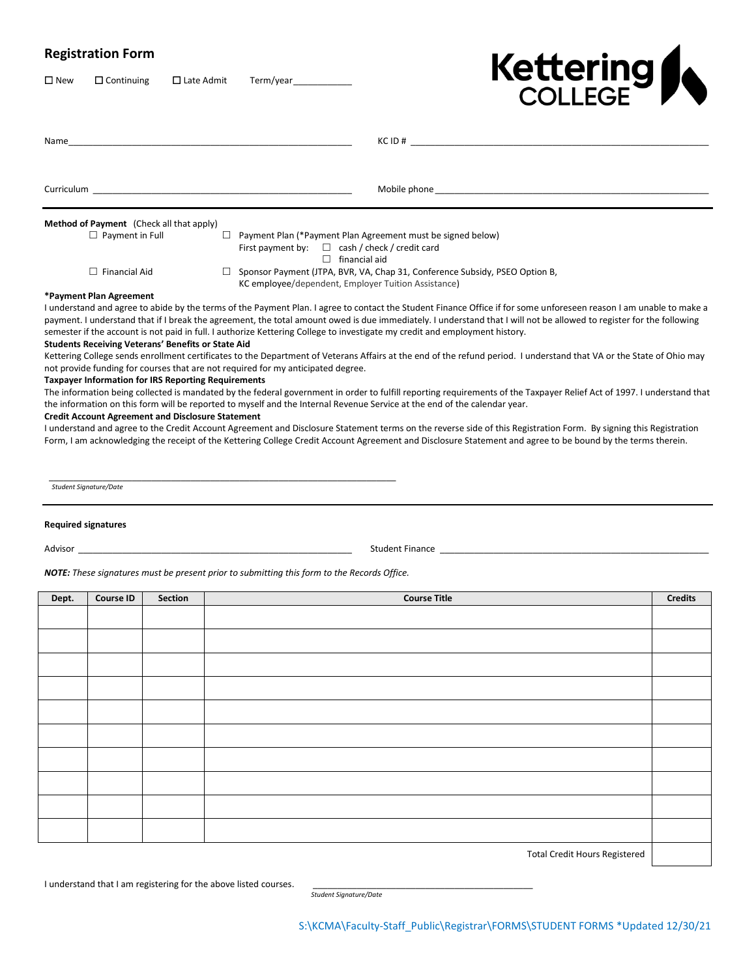# **Registration Form**

New Continuing Late Admit Term/year\_\_\_\_\_\_\_\_\_\_\_\_



| <b>Curriculum Curriculum</b>                              | Mobile phone that the state of the state of the state of the state of the state of the state of the state of the state of the state of the state of the state of the state of the state of the state of the state of the state                                                                                                                                                                                                                                             |
|-----------------------------------------------------------|----------------------------------------------------------------------------------------------------------------------------------------------------------------------------------------------------------------------------------------------------------------------------------------------------------------------------------------------------------------------------------------------------------------------------------------------------------------------------|
| <b>Method of Payment</b> (Check all that apply)           |                                                                                                                                                                                                                                                                                                                                                                                                                                                                            |
| $\Box$ Payment in Full                                    | $\Box$ Payment Plan (*Payment Plan Agreement must be signed below)<br>First payment by: $\square$ cash / check / credit card<br>$\Box$ financial aid                                                                                                                                                                                                                                                                                                                       |
| $\Box$ Financial Aid                                      | Sponsor Payment (JTPA, BVR, VA, Chap 31, Conference Subsidy, PSEO Option B,<br>KC employee/dependent, Employer Tuition Assistance)                                                                                                                                                                                                                                                                                                                                         |
| *Payment Plan Agreement                                   |                                                                                                                                                                                                                                                                                                                                                                                                                                                                            |
| <b>Students Receiving Veterans' Benefits or State Aid</b> | I understand and agree to abide by the terms of the Payment Plan. I agree to contact the Student Finance Office if for some unforeseen reason I am unable to make a<br>payment. I understand that if I break the agreement, the total amount owed is due immediately. I understand that I will not be allowed to register for the following<br>semester if the account is not paid in full. I authorize Kettering College to investigate my credit and employment history. |
|                                                           | Kettering College sends enrollment certificates to the Department of Veterans Affairs at the end of the refund period. I understand that VA or the State of Ohio may<br>not provide funding for courses that are not required for my anticipated degree.                                                                                                                                                                                                                   |

#### **Taxpayer Information for IRS Reporting Requirements**

The information being collected is mandated by the federal government in order to fulfill reporting requirements of the Taxpayer Relief Act of 1997. I understand that the information on this form will be reported to myself and the Internal Revenue Service at the end of the calendar year.

#### **Credit Account Agreement and Disclosure Statement**

I understand and agree to the Credit Account Agreement and Disclosure Statement terms on the reverse side of this Registration Form. By signing this Registration Form, I am acknowledging the receipt of the Kettering College Credit Account Agreement and Disclosure Statement and agree to be bound by the terms therein.

\_\_\_\_\_\_\_\_\_\_\_\_\_\_\_\_\_\_\_\_\_\_\_\_\_\_\_\_\_\_\_\_\_\_\_\_\_\_\_\_\_\_\_\_\_\_\_\_\_\_\_\_\_\_\_\_\_\_\_\_\_\_\_\_\_\_\_\_\_\_\_ *Student Signature/Date*

#### **Required signatures**

Advisor \_\_\_\_\_\_\_\_\_\_\_\_\_\_\_\_\_\_\_\_\_\_\_\_\_\_\_\_\_\_\_\_\_\_\_\_\_\_\_\_\_\_\_\_\_\_\_\_\_\_\_\_\_\_\_\_ Student Finance \_\_\_\_\_\_\_\_\_\_\_\_\_\_\_\_\_\_\_\_\_\_\_\_\_\_\_\_\_\_\_\_\_\_\_\_\_\_\_\_\_\_\_\_\_\_\_\_\_\_\_\_\_\_\_

*NOTE: These signatures must be present prior to submitting this form to the Records Office.*

| Dept. | <b>Course ID</b> | Section | <b>Course Title</b> | <b>Credits</b> |
|-------|------------------|---------|---------------------|----------------|
|       |                  |         |                     |                |
|       |                  |         |                     |                |
|       |                  |         |                     |                |
|       |                  |         |                     |                |
|       |                  |         |                     |                |
|       |                  |         |                     |                |
|       |                  |         |                     |                |
|       |                  |         |                     |                |
|       |                  |         |                     |                |
|       |                  |         |                     |                |
|       |                  |         |                     |                |

Total Credit Hours Registered

I understand that I am registering for the above listed courses.

*Student Signature/Date*